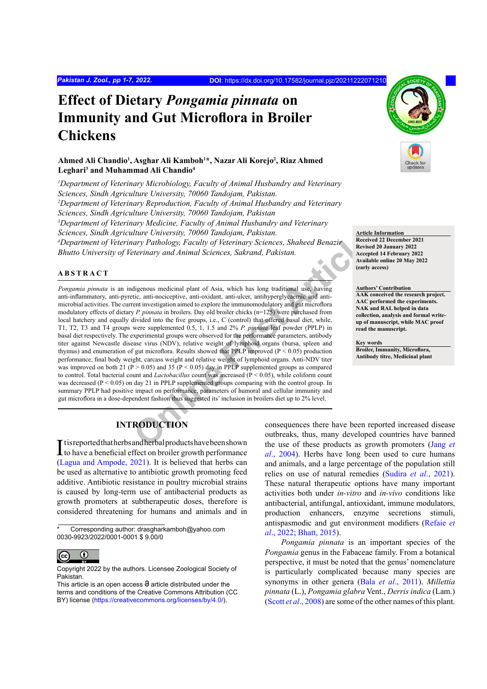# **Effect of Dietary** *Pongamia pinnata* **on Immunity and Gut Microflora in Broiler Chickens**

## **Ahmed Ali Chandio<sup>1</sup> , Asghar Ali Kamboh<sup>1</sup> \*, Nazar Ali Korejo<sup>2</sup> , Riaz Ahmed Leghari3 and Muhammad Ali Chandio<sup>4</sup>**

<sup>1</sup>Department of Veterinary Microbiology, Faculty of Animal Husbandry and Veterinary *Sciences, Sindh Agriculture University, 70060 Tandojam, Pakistan. 2 Department of Veterinary Reproduction, Faculty of Animal Husbandry and Veterinary Sciences, Sindh Agriculture University, 70060 Tandojam, Pakistan 3 Department of Veterinary Medicine, Faculty of Animal Husbandry and Veterinary Sciences, Sindh Agriculture University, 70060 Tandojam, Pakistan. 4 Department of Veterinary Pathology, Faculty of Veterinary Sciences, Shaheed Benazir Bhutto University of Veterinary and Animal Sciences, Sakrand, Pakistan.*

## **ABSTRACT**

The University, 10060 Landojam, Pakistan.<br>
Marine University, 10060 Landojam, Pakistan.<br>
Maria ary Pathology, Faculty of Veterinary Sciences, Shaheed Benazir<br>
Mereview Article<br>
Maria articlearing and Artimal Sciences, Sakr *Pongamia pinnata* is an indigenous medicinal plant of Asia, which has long traditional use, having anti-inflammatory, anti-pyretic, anti-nociceptive, anti-oxidant, anti-ulcer, antihyperglycaemic and antimicrobial activities. The current investigation aimed to explore the immunomodulatory and gut microflora modulatory effects of dietary *P. pinnata* in broilers. Day old broiler chicks (n=125) were purchased from local hatchery and equally divided into the five groups, i.e., C (control) that offered basal diet, while, T1, T2, T3 and T4 groups were supplemented 0.5, 1, 1.5 and 2% *P. pinnata* leaf powder (PPLP) in basal diet respectively. The experimental groups were observed for the performance parameters, antibody titer against Newcastle disease virus (NDV), relative weight of lymphoid organs (bursa, spleen and thymus) and enumeration of gut microflora. Results showed that PPLP improved ( $P < 0.05$ ) production performance, final body weight, carcass weight and relative weight of lymphoid organs. Anti-NDV titer was improved on both 21 ( $P > 0.05$ ) and 35 ( $P < 0.05$ ) day in PPLP supplemented groups as compared to control. Total bacterial count and *Lactobacillus* count was increased (P < 0.05), while coliform count was decreased  $(P < 0.05)$  on day 21 in PPLP supplemented groups comparing with the control group. In summary PPLP had positive impact on performance, parameters of humoral and cellular immunity and gut microflora in a dose-dependent fashion thus suggested its' inclusion in broilers diet up to 2% level.

# **INTRODUCTION**

It is reported that herbs and herbal products have been shown<br>to have a beneficial effect on broiler growth performance to have a beneficial effect on broiler growth performance [\(Lagua and Ampode, 2021\)](#page-6-0). It is believed that herbs can be used as alternative to antibiotic growth promoting feed additive. Antibiotic resistance in poultry microbial strains is caused by long-term use of antibacterial products as growth promoters at subtherapeutic doses, therefore is considered threatening for humans and animals and in

Corresponding author: drasgharkamboh@yahoo.com 0030-9923/2022/0001-0001 \$ 9.00/0



Copyright 2022 by the authors. Licensee Zoological Society of Pakistan.



**Article Information Received 22 December 2021 Revised 20 January 2022 Accepted 14 February 2022 Available online 20 May 2022 (early access)**

**Authors' Contribution AAK conceived the research project. AAC performed the experiments. NAK and RAL helped in data collection, analysis and formal writeup of manuscript, while MAC proof read the manuscript.**

**Key words Broiler, Immunity, Microflora, Antibody titre, Medicinal plant**

consequences there have been reported increased disease outbreaks, thus, many developed countries have banned the use of these products as growth promoters ([Jang](#page-5-0) *et al*[., 2004](#page-5-0)). Herbs have long been used to cure humans and animals, and a large percentage of the population still relies on use of natural remedies (Sudira *et al*[., 2021\)](#page-6-1). These natural therapeutic options have many important activities both under *in-vitro* and *in-vivo* conditions like antibacterial, antifungal, antioxidant, immune modulators, production enhancers, enzyme secretions stimuli, antispasmodic and gut environment modifiers [\(Refaie](#page-6-2) *et al*[., 2022](#page-6-2); [Bhatt, 2015](#page-5-1)).

*Pongamia pinnata* is an important species of the *Pongamia* genus in the Fabaceae family. From a botanical perspective, it must be noted that the genus' nomenclature is particularly complicated because many species are synonyms in other genera (Bala *et al*[., 2011\)](#page-5-2). *Millettia pinnata* (L.), *Pongamia glabra* Vent., *Derris indica* (Lam.) (Scott *et al*[., 2008\)](#page-6-3) are some of the other names of this plant.

This article is an open access  $\Theta$  article distributed under the terms and conditions of the Creative Commons Attribution (CC BY) license (https://creativecommons.org/licenses/by/4.0/).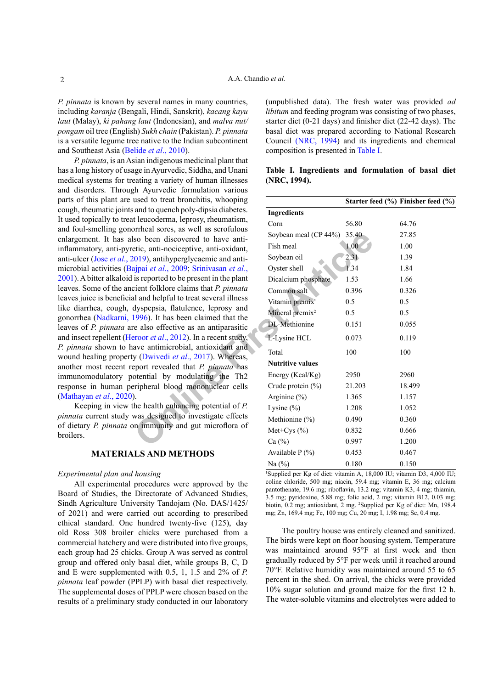*P. pinnata* is known by several names in many countries, including *karanja* (Bengali, Hindi, Sanskrit), *kacang kayu laut* (Malay), *ki pahang laut* (Indonesian), and *malva nut/ pongam* oil tree (English) *Sukh chain* (Pakistan). *P. pinnata*  is a versatile legume tree native to the Indian subcontinent and Southeast Asia ([Belide](#page-5-3) *et al*., 2010).

*P. pinnata*, is an Asian indigenous medicinal plant that has a long history of usage in Ayurvedic, Siddha, and Unani medical systems for treating a variety of human illnesses and disorders. Through Ayurvedic formulation various parts of this plant are used to treat bronchitis, whooping cough, rheumatic joints and to quench poly-dipsia diabetes. It used topically to treat leucoderma, leprosy, rheumatism, and foul-smelling gonorrheal sores, as well as scrofulous enlargement. It has also been discovered to have antiinflammatory, anti-pyretic, anti-nociceptive, anti-oxidant, anti-ulcer (Jose *et al*[., 2019\)](#page-5-4), antihyperglycaemic and antimicrobial activities (Bajpai *et al*., 2009; Srinivasan *et al*., [2001\)](#page-6-4). A bitter alkaloid is reported to be present in the plant leaves. Some of the ancient folklore claims that *P. pinnata* leaves juice is beneficial and helpful to treat several illness like diarrhea, cough, dyspepsia, flatulence, leprosy and gonorrhea ([Nadkarni, 1996\)](#page-6-5). It has been claimed that the leaves of *P. pinnata* are also effective as an antiparasitic and insect repellent (Heroor *et al*., 2012). In a recent study, *P. pinnata* shown to have antimicrobial, antioxidant and wound healing property (Dwivedi *et al*., 2017). Whereas, another most recent report revealed that *P. pinnata* has immunomodulatory potential by modulating the Th2 response in human peripheral blood mononuclear cells [\(Mathayan](#page-6-6) *et al*., 2020).

Keeping in view the health enhancing potential of *P. pinnata* current study was designed to investigate effects of dietary *P. pinnata* on immunity and gut microflora of broilers.

### **MATERIALS AND METHODS**

### *Experimental plan and housing*

All experimental procedures were approved by the Board of Studies, the Directorate of Advanced Studies, Sindh Agriculture University Tandojam (No. DAS/1425/ of 2021) and were carried out according to prescribed ethical standard. One hundred twenty-five (125), day old Ross 308 broiler chicks were purchased from a commercial hatchery and were distributed into five groups, each group had 25 chicks. Group A was served as control group and offered only basal diet, while groups B, C, D and E were supplemented with 0.5, 1, 1.5 and 2% of *P. pinnata* leaf powder (PPLP) with basal diet respectively. The supplemental doses of PPLP were chosen based on the results of a preliminary study conducted in our laboratory

(unpublished data). The fresh water was provided *ad libitum* and feeding program was consisting of two phases, starter diet (0-21 days) and finisher diet (22-42 days). The basal diet was prepared according to National Research Council [\(NRC, 1994](#page-6-7)) and its ingredients and chemical composition is presented in [Table I](#page-1-0).

## <span id="page-1-0"></span>**Table I. Ingredients and formulation of basal diet (NRC, 1994).**

| used to treat bronchitis, whooping                                        |                             |        | Starter feed $(\% )$ Finisher feed $(\% )$ |
|---------------------------------------------------------------------------|-----------------------------|--------|--------------------------------------------|
| and to quench poly-dipsia diabetes.                                       | <b>Ingredients</b>          |        |                                            |
| t leucoderma, leprosy, rheumatism,                                        | Corn                        | 56.80  | 64.76                                      |
| orrheal sores, as well as scrofulous<br>so been discovered to have anti-  | Soybean meal (CP 44%)       | 35.40  | 27.85                                      |
| etic, anti-nociceptive, anti-oxidant,                                     | Fish meal                   | 1.00   | 1.00                                       |
| 019), antihyperglycaemic and anti-                                        | Soybean oil                 | 2.31   | 1.39                                       |
| ajpai et al., 2009; Srinivasan et al.,                                    | Oyster shell                | 1.34   | 1.84                                       |
| is reported to be present in the plant                                    | Dicalcium phosphate         | 1.53   | 1.66                                       |
| cient folklore claims that P. pinnata                                     | Common salt                 | 0.396  | 0.326                                      |
| al and helpful to treat several illness                                   | Vitamin premix'             | 0.5    | 0.5                                        |
| dyspepsia, flatulence, leprosy and<br>1996). It has been claimed that the | Mineral premix <sup>2</sup> | 0.5    | 0.5                                        |
| e also effective as an antiparasitic                                      | DL-Methionine               | 0.151  | 0.055                                      |
| eroor <i>et al.</i> , 2012). In a recent study,                           | L-Lysine HCL                | 0.073  | 0.119                                      |
| ave antimicrobial, antioxidant and                                        | Total                       | 100    | 100                                        |
| y (Dwivedi et al., 2017). Whereas,<br>eport revealed that P. pinnata has  | <b>Nutritive values</b>     |        |                                            |
| otential by modulating the Th <sub>2</sub>                                | Energy (Kcal/Kg)            | 2950   | 2960                                       |
| eripheral blood mononuclear cells                                         | Crude protein $(\% )$       | 21.203 | 18.499                                     |
|                                                                           | Arginine $(\% )$            | 1.365  | 1.157                                      |
| he health enhancing potential of P.                                       | Lysine $(\% )$              | 1.208  | 1.052                                      |
| was designed to investigate effects                                       | Methionine (%)              | 0.490  | 0.360                                      |
| in immunity and gut microflora of                                         | Met+Cys $(\% )$             | 0.832  | 0.666                                      |
|                                                                           | Ca $(\%)$                   | 0.997  | 1.200                                      |
| <b>LS AND METHODS</b>                                                     | Available $P(\% )$          | 0.453  | 0.467                                      |
|                                                                           | Na $(%)$                    | 0.180  | 0.150                                      |

1 Supplied per Kg of diet: vitamin A, 18,000 IU; vitamin D3, 4,000 IU; coline chloride, 500 mg; niacin, 59.4 mg; vitamin E, 36 mg; calcium pantothenate, 19.6 mg; riboflavin, 13.2 mg; vitamin K3, 4 mg; thiamin, 3.5 mg; pyridoxine, 5.88 mg; folic acid, 2 mg; vitamin B12, 0.03 mg; biotin, 0.2 mg; antioxidant, 2 mg. 2 Supplied per Kg of diet: Mn, 198.4 mg; Zn, 169.4 mg; Fe, 100 mg; Cu, 20 mg; I, 1.98 mg; Se, 0.4 mg.

The poultry house was entirely cleaned and sanitized. The birds were kept on floor housing system. Temperature was maintained around 95°F at first week and then gradually reduced by 5°F per week until it reached around 70°F. Relative humidity was maintained around 55 to 65 percent in the shed. On arrival, the chicks were provided 10% sugar solution and ground maize for the first 12 h. The water-soluble vitamins and electrolytes were added to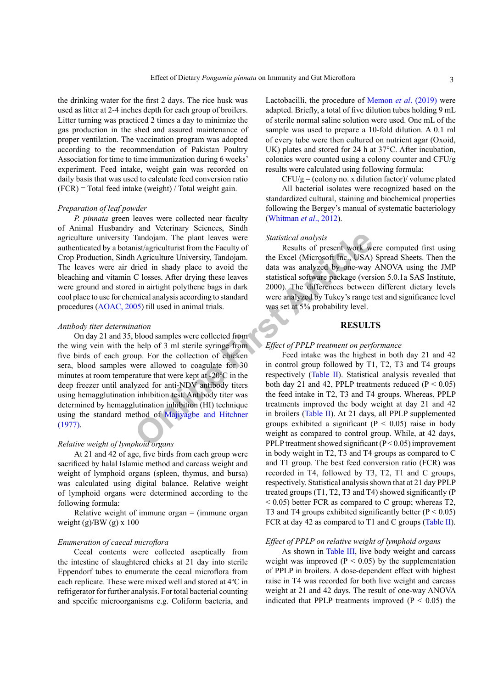the drinking water for the first 2 days. The rice husk was used as litter at 2-4 inches depth for each group of broilers. Litter turning was practiced 2 times a day to minimize the gas production in the shed and assured maintenance of proper ventilation. The vaccination program was adopted according to the recommendation of Pakistan Poultry Association for time to time immunization during 6 weeks' experiment. Feed intake, weight gain was recorded on daily basis that was used to calculate feed conversion ratio  $(FCR)$  = Total feed intake (weight) / Total weight gain.

#### *Preparation of leaf powder*

*P. pinnata* green leaves were collected near faculty of Animal Husbandry and Veterinary Sciences, Sindh agriculture university Tandojam. The plant leaves were authenticated by a botanist/agriculturist from the Faculty of Crop Production, Sindh Agriculture University, Tandojam. The leaves were air dried in shady place to avoid the bleaching and vitamin C losses. After drying these leaves were ground and stored in airtight polythene bags in dark cool place to use for chemical analysis according to standard procedures ([AOAC, 2005\)](#page-5-8) till used in animal trials.

## *Antibody titer determination*

Tandojam. The plant leaves were<br>
Statistical analysis<br>
instagriculturist from the Faculty of<br>
Irisd in shady place to avoid the Excel (Microsoft Inc., USA)<br>
Closses. After drying these leaves<br>
statistical software package On day 21 and 35, blood samples were collected from the wing vein with the help of 3 ml sterile syringe from five birds of each group. For the collection of chicken sera, blood samples were allowed to coagulate for 30 minutes at room temperature that were kept at -20ºC in the deep freezer until analyzed for anti-NDV antibody titers using hemagglutination inhibition test. Antibody titer was determined by hemagglutination inhibition (HI) technique using the standard method of Majiyagbe and Hitchner [\(1977\)](#page-6-8).

## *Relative weight of lymphoid organs*

At 21 and 42 of age, five birds from each group were sacrificed by halal Islamic method and carcass weight and weight of lymphoid organs (spleen, thymus, and bursa) was calculated using digital balance. Relative weight of lymphoid organs were determined according to the following formula:

Relative weight of immune organ  $=$  (immune organ weight (g)/BW (g) x 100

#### *Enumeration of caecal microflora*

Cecal contents were collected aseptically from the intestine of slaughtered chicks at 21 day into sterile Eppendorf tubes to enumerate the cecal microflora from each replicate. These were mixed well and stored at 4ºC in refrigerator for further analysis. For total bacterial counting and specific microorganisms e.g. Coliform bacteria, and

Lactobacilli, the procedure of [Memon](#page-6-9) *et al*. (2019) were adapted. Briefly, a total of five dilution tubes holding 9 mL of sterile normal saline solution were used. One mL of the sample was used to prepare a 10-fold dilution. A 0.1 ml of every tube were then cultured on nutrient agar (Oxoid, UK) plates and stored for 24 h at 37°C. After incubation, colonies were counted using a colony counter and CFU/g results were calculated using following formula:

 $CFU/g = (colony no. x dilution factor)/ volume plated$ 

All bacterial isolates were recognized based on the standardized cultural, staining and biochemical properties following the Bergey's manual of systematic bacteriology (Whitman *et al*., 2012).

## *Statistical analysis*

Results of present work were computed first using the Excel (Microsoft Inc., USA) Spread Sheets. Then the data was analyzed by one-way ANOVA using the JMP statistical software package (version 5.0.1a SAS Institute, 2000). The differences between different dietary levels were analyzed by Tukey's range test and significance level was set at 5% probability level.

#### **RESULTS**

## *Effect of PPLP treatment on performance*

Feed intake was the highest in both day 21 and 42 in control group followed by T1, T2, T3 and T4 groups respectively (Table II). Statistical analysis revealed that both day 21 and 42, PPLP treatments reduced  $(P < 0.05)$ the feed intake in T2, T3 and T4 groups. Whereas, PPLP treatments improved the body weight at day 21 and 42 in broilers (Table II). At 21 days, all PPLP supplemented groups exhibited a significant ( $P < 0.05$ ) raise in body weight as compared to control group. While, at 42 days, PPLP treatment showed significant (P < 0.05) improvement in body weight in T2, T3 and T4 groups as compared to C and T1 group. The best feed conversion ratio (FCR) was recorded in T4, followed by T3, T2, T1 and C groups, respectively. Statistical analysis shown that at 21 day PPLP treated groups (T1, T2, T3 and T4) showed significantly (P  $<$  0.05) better FCR as compared to C group; whereas T2, T3 and T4 groups exhibited significantly better  $(P < 0.05)$ FCR at day 42 as compared to T1 and C groups [\(Table II](#page-3-0)).

#### *Effect of PPLP on relative weight of lymphoid organs*

As shown in [Table III,](#page-3-1) live body weight and carcass weight was improved ( $P < 0.05$ ) by the supplementation of PPLP in broilers. A dose-dependent effect with highest raise in T4 was recorded for both live weight and carcass weight at 21 and 42 days. The result of one-way ANOVA indicated that PPLP treatments improved  $(P < 0.05)$  the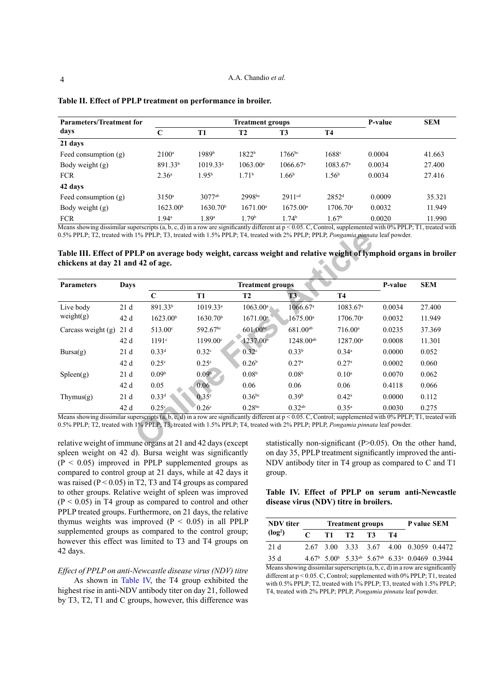| <b>Parameters/Treatment for</b>        |                                   |                      | P-value                           | <b>SEM</b>                                                             |                               |        |                                                                                                                                                                                                                                                                                                            |
|----------------------------------------|-----------------------------------|----------------------|-----------------------------------|------------------------------------------------------------------------|-------------------------------|--------|------------------------------------------------------------------------------------------------------------------------------------------------------------------------------------------------------------------------------------------------------------------------------------------------------------|
| days                                   | C                                 | T1                   | T <sub>2</sub>                    | T <sub>3</sub>                                                         | <b>T4</b>                     |        |                                                                                                                                                                                                                                                                                                            |
| 21 days                                |                                   |                      |                                   |                                                                        |                               |        |                                                                                                                                                                                                                                                                                                            |
| Feed consumption $(g)$                 | $2100^a$                          | 1989b                | 1822 <sup>b</sup>                 | $1766^{bc}$                                                            | 1688 <sup>c</sup>             | 0.0004 | 41.663                                                                                                                                                                                                                                                                                                     |
| Body weight $(g)$                      | 891.33 <sup>b</sup>               | $1019.33^a$          | $1063.00^{\circ}$                 | $1066.67$ <sup>a</sup>                                                 | $1083.67$ <sup>a</sup>        | 0.0034 | 27.400                                                                                                                                                                                                                                                                                                     |
| <b>FCR</b>                             | 2.36 <sup>a</sup>                 | 1.95 <sup>b</sup>    | 1.71 <sup>b</sup>                 | 1.66 <sup>b</sup>                                                      | 1.56 <sup>b</sup>             | 0.0034 | 27.416                                                                                                                                                                                                                                                                                                     |
| 42 days                                |                                   |                      |                                   |                                                                        |                               |        |                                                                                                                                                                                                                                                                                                            |
| Feed consumption $(g)$                 | $3150^a$                          | $3077^{ab}$          | 2998bc                            | 2911 <sup>cd</sup>                                                     | $2852^{\rm d}$                | 0.0009 | 35.321                                                                                                                                                                                                                                                                                                     |
| Body weight $(g)$                      | 1623.00 <sup>b</sup>              | 1630.70 <sup>b</sup> | $1671.00^a$                       | $1675.00^{\circ}$                                                      | $1706.70^{\circ}$             | 0.0032 | 11.949                                                                                                                                                                                                                                                                                                     |
| <b>FCR</b><br>$\overline{\phantom{a}}$ | 1.94 <sup>a</sup><br>$\mathbf{1}$ | 1.89a                | 1.79 <sup>b</sup><br>$1.1 - 1.00$ | 1.74 <sup>b</sup><br>$0.005$ $\alpha$ $\alpha$<br>$\sim$ $\sim$ $\sim$ | 1.67 <sup>b</sup><br>$\sim$ 1 | 0.0020 | 11.990<br>$\mathbf{1}$ and $\mathbf{0}$ and $\mathbf{0}$ and $\mathbf{0}$ and $\mathbf{0}$ and $\mathbf{0}$ and $\mathbf{0}$ and $\mathbf{0}$ and $\mathbf{0}$ and $\mathbf{0}$ and $\mathbf{0}$ and $\mathbf{0}$ and $\mathbf{0}$ and $\mathbf{0}$ and $\mathbf{0}$ and $\mathbf{0}$ and $\mathbf{0}$ and |

<span id="page-3-0"></span>

| Table II. Effect of PPLP treatment on performance in broiler. |  |
|---------------------------------------------------------------|--|
|---------------------------------------------------------------|--|

Means showing dissimilar superscripts (a, b, c, d) in a row are significantly different at p < 0.05. C, Control, supplemented with 0% PPLP; T1, treated with 0.5% PPLP; T2, treated with 1% PPLP; T3, treated with 1.5% PPLP; T4, treated with 2% PPLP; PPLP, *Pongamia pinnata* leaf powder.

<span id="page-3-1"></span>**Table III. Effect of PPLP on average body weight, carcass weight and relative weight of lymphoid organs in broiler chickens at day 21 and 42 of age.**

| <b>Parameters</b>    | <b>Days</b><br><b>Treatment groups</b> |                      |                      |                        |                      | P-value                | <b>SEM</b> |        |
|----------------------|----------------------------------------|----------------------|----------------------|------------------------|----------------------|------------------------|------------|--------|
|                      |                                        | $\mathbf C$          | <b>T1</b>            | <b>T2</b>              | <b>T3</b>            | <b>T4</b>              |            |        |
| Live body            | 21d                                    | 891.33 <sup>b</sup>  | $1019.33^a$          | $1063.00^a$            | 1066.67 <sup>a</sup> | $1083.67$ <sup>a</sup> | 0.0034     | 27.400 |
| weight $(g)$         | 42 d                                   | 1623.00 <sup>b</sup> | 1630.70 <sup>b</sup> | $1671.00$ <sup>a</sup> | $1675.00^{\circ}$    | 1706.70 <sup>a</sup>   | 0.0032     | 11.949 |
| Carcass weight $(g)$ | 21d                                    | 513.00°              | 592.67bc             | $601.00^{bc}$          | $681.00^{ab}$        | $716.00^a$             | 0.0235     | 37.369 |
|                      | 42 d                                   | 1191 <sup>c</sup>    | 1199.00°             | 1237.00 <sup>b</sup>   | $1248.00^{ab}$       | 1287.00 <sup>a</sup>   | 0.0008     | 11.301 |
| Bursa(g)             | 21d                                    | $0.33^d$             | 0.32 <sup>c</sup>    | 0.32 <sup>c</sup>      | 0.33 <sup>b</sup>    | $0.34^{\circ}$         | 0.0000     | 0.052  |
|                      | 42 d                                   | 0.25 <sup>c</sup>    | 0.25 <sup>c</sup>    | 0.26 <sup>b</sup>      | $0.27^{\rm a}$       | 0.27 <sup>a</sup>      | 0.0002     | 0.060  |
| Spleen(g)            | 21d                                    | 0.09 <sup>b</sup>    | 0.09 <sup>b</sup>    | 0.08 <sup>b</sup>      | 0.08 <sup>b</sup>    | 0.10 <sup>a</sup>      | 0.0070     | 0.062  |
|                      | 42 d                                   | 0.05                 | 0.06                 | 0.06                   | 0.06                 | 0.06                   | 0.4118     | 0.066  |
| Thymus $(g)$         | 21d                                    | 0.33 <sup>d</sup>    | 0.35c                | $0.36$ bc              | 0.39 <sup>b</sup>    | $0.42^{\rm a}$         | 0.0000     | 0.112  |
|                      | 42 d                                   | $0.25^\circ$         | 0.26 <sup>c</sup>    | $0.28^{bc}$            | $0.32^{ab}$          | $0.35^{\rm a}$         | 0.0030     | 0.275  |

relative weight of immune organs at 21 and 42 days (except spleen weight on 42 d). Bursa weight was significantly  $(P < 0.05)$  improved in PPLP supplemented groups as compared to control group at 21 days, while at 42 days it was raised ( $P < 0.05$ ) in T2, T3 and T4 groups as compared to other groups. Relative weight of spleen was improved  $(P < 0.05)$  in T4 group as compared to control and other PPLP treated groups. Furthermore, on 21 days, the relative thymus weights was improved  $(P < 0.05)$  in all PPLP supplemented groups as compared to the control group; however this effect was limited to T3 and T4 groups on 42 days.

## *Effect of PPLP on anti-Newcastle disease virus (NDV) titre*

As shown in [Table IV,](#page-3-2) the T4 group exhibited the highest rise in anti-NDV antibody titer on day 21, followed by T3, T2, T1 and C groups, however, this difference was statistically non-significant (P>0.05). On the other hand, on day 35, PPLP treatment significantly improved the anti-NDV antibody titer in T4 group as compared to C and T1 group.

# <span id="page-3-2"></span>**Table IV. Effect of PPLP on serum anti-Newcastle disease virus (NDV) titre in broilers.**

| <b>NDV</b> titer    | <b>Treatment groups</b> |     |    |           |    | P value SEM                                                                                     |  |  |
|---------------------|-------------------------|-----|----|-----------|----|-------------------------------------------------------------------------------------------------|--|--|
| (log <sup>2</sup> ) | $\mathcal{C}$           | T1. | T2 | <b>T3</b> | T4 |                                                                                                 |  |  |
| 21d                 |                         |     |    |           |    | 2.67 3.00 3.33 3.67 4.00 0.3059 0.4472                                                          |  |  |
| 35 d                |                         |     |    |           |    | $4.67b$ 5.00 <sup>b</sup> 5.33 <sup>ab</sup> 5.67 <sup>ab</sup> 6.33 <sup>a</sup> 0.0469 0.3944 |  |  |

Means showing dissimilar superscripts  $(a, b, c, d)$  in a row are significantly different at p < 0.05. C, Control; supplemented with 0% PPLP; T1, treated with 0.5% PPLP; T2, treated with 1% PPLP; T3, treated with 1.5% PPLP; T4, treated with 2% PPLP; PPLP, *Pongamia pinnata* leaf powder.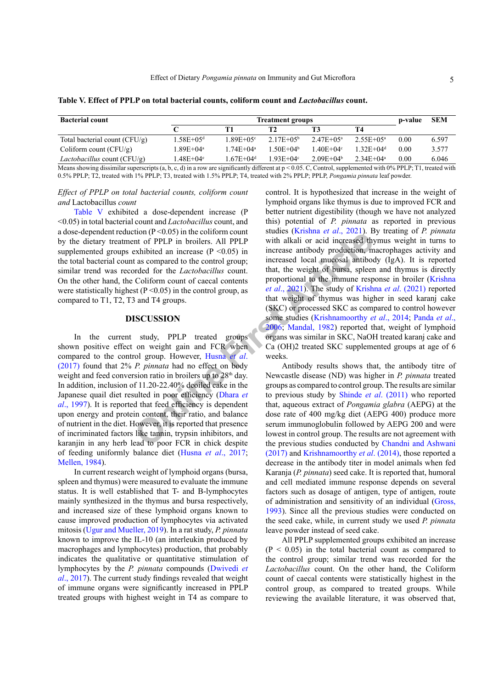| <b>Bacterial count</b>               |                        | p-value                    | <b>SEM</b>     |                 |                |      |       |
|--------------------------------------|------------------------|----------------------------|----------------|-----------------|----------------|------|-------|
|                                      |                        | Т1                         | Т2             |                 | T4             |      |       |
| Total bacterial count $(CFU/g)$      | $1.58E + 0.5d$         | $1.89E + 0.5$ <sup>c</sup> | $2.17E + 0.5b$ | $2.47E + 0.5^a$ | $2.55E+0.5a$   | 0.00 | 6.597 |
| Coliform count $(CFU/g)$             | 1.89E+04ª              | $1.74E + 0.4^a$            | $50E + 04b$    | $1.40E + 0.4$   | $32E+04d$      | 0.00 | 3.577 |
| <i>Lactobacillus</i> count $(CFU/g)$ | $.48E+04$ <sup>e</sup> | $1.67E + 0.4d$             | $1.93E + 04$ ° | $2.09E + 04b$   | $2.34E + 0.4a$ | 0.00 | 6.046 |

<span id="page-4-0"></span>**Table V. Effect of PPLP on total bacterial counts, coliform count and** *Lactobacillus* **count.**

Means showing dissimilar superscripts (a, b, c, d) in a row are significantly different at  $p < 0.05$ . C, Control, supplemented with 0% PPLP; T1, treated with 0.5% PPLP; T2, treated with 1% PPLP; T3, treated with 1.5% PPLP; T4, treated with 2% PPLP; PPLP, *Pongamia pinnata* leaf powder.

*Effect of PPLP on total bacterial counts, coliform count and* Lactobacillus *count*

[Table V](#page-4-0) exhibited a dose-dependent increase (P <0.05) in total bacterial count and *Lactobacillus* count, and a dose-dependent reduction  $(P \le 0.05)$  in the coliform count by the dietary treatment of PPLP in broilers. All PPLP supplemented groups exhibited an increase  $(P \le 0.05)$  in the total bacterial count as compared to the control group; similar trend was recorded for the *Lactobacillus* count. On the other hand, the Coliform count of caecal contents were statistically highest ( $P \le 0.05$ ) in the control group, as compared to T1, T2, T3 and T4 groups.

#### **DISCUSSION**

In the current study, PPLP treated groups shown positive effect on weight gain and FCR when compared to the control group. However, Husna *et al*. [\(2017\)](#page-5-9) found that 2% *P. pinnata* had no effect on body weight and feed conversion ratio in broilers up to 28<sup>th</sup> day. In addition, inclusion of 11.20-22.40% deoiled cake in the Japanese quail diet resulted in poor efficiency (Dhara *et al*[., 1997\)](#page-5-10). It is reported that feed efficiency is dependent upon energy and protein content, their ratio, and balance of nutrient in the diet. However, it is reported that presence of incriminated factors like tannin, trypsin inhibitors, and karanjin in any herb lead to poor FCR in chick despite of feeding uniformly balance diet (Husna *et al*[., 2017](#page-5-9); [Mellen, 1984](#page-6-10)).

In current research weight of lymphoid organs (bursa, spleen and thymus) were measured to evaluate the immune status. It is well established that T- and B-lymphocytes mainly synthesized in the thymus and bursa respectively, and increased size of these lymphoid organs known to cause improved production of lymphocytes via activated mitosis [\(Ugur and Mueller, 2019](#page-6-11)). In a rat study, *P. pinnata* known to improve the IL-10 (an interleukin produced by macrophages and lymphocytes) production, that probably indicates the qualitative or quantitative stimulation of lymphocytes by the *P. pinnata* compounds ([Dwivedi](#page-5-7) *et al*[., 2017](#page-5-7)). The current study findings revealed that weight of immune organs were significantly increased in PPLP treated groups with highest weight in T4 as compare to

**EXCOLUSTION**<br>
Th[e](#page-5-11) control of PPLP in broiding the control of PPLP in broiding the states (P <0.05) in the control group; increased local mucosal antibox orded for the *Lactobacillus* count.<br>
It as compared to the control control. It is hypothesized that increase in the weight of lymphoid organs like thymus is due to improved FCR and better nutrient digestibility (though we have not analyzed this) potential of *P. pinnata* as reported in previous studies (Krishna *et al*., 2021). By treating of *P. pinnata* with alkali or acid increased thymus weight in turns to increase antibody production, macrophages activity and increased local mucosal antibody (IgA). It is reported that, the weight of bursa, spleen and thymus is directly proportional to the immune response in broiler ([Krishna](#page-5-11) *et al*., 2021). The study of [Krishna](#page-5-11) *et al*. (2021) reported that weight of thymus was higher in seed karanj cake (SKC) or processed SKC as compared to control however some studies (Krishnamoorthy *et al*., 2014; [Panda](#page-6-13) *et al*., 2006; Mandal, 1982) reported that, weight of lymphoid organs was similar in SKC, NaOH treated karanj cake and Ca (OH)2 treated SKC supplemented groups at age of 6 weeks.

Antibody results shows that, the antibody titre of Newcastle disease (ND) was higher in *P. pinnata* treated groups as compared to control group. The results are similar to previous study by Shinde *et al*. (2011) who reported that, aqueous extract of *Pongamia glabra* (AEPG) at the dose rate of 400 mg/kg diet (AEPG 400) produce more serum immunoglobulin followed by AEPG 200 and were lowest in control group. The results are not agreement with the previous studies conducted by [Chandni and Ashwani](#page-5-12) [\(2017\)](#page-5-12) and [Krishnamoorthy](#page-6-12) *et al*. (2014), those reported a decrease in the antibody titer in model animals when fed Karanja (*P. pinnata*) seed cake. It is reported that, humoral and cell mediated immune response depends on several factors such as dosage of antigen, type of antigen, route of administration and sensitivity of an individual [\(Gross,](#page-5-13) [1993\)](#page-5-13). Since all the previous studies were conducted on the seed cake, while, in current study we used *P. pinnata* leave powder instead of seed cake.

All PPLP supplemented groups exhibited an increase  $(P < 0.05)$  in the total bacterial count as compared to the control group; similar trend was recorded for the *Lactobacillus* count. On the other hand, the Coliform count of caecal contents were statistically highest in the control group, as compared to treated groups. While reviewing the available literature, it was observed that,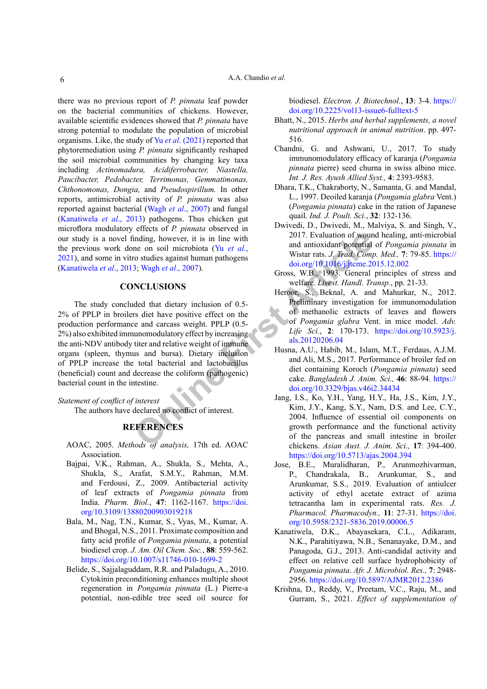there was no previous report of *P. pinnata* leaf powder on the bacterial communities of chickens. However, available scientific evidences showed that *P. pinnata* have strong potential to modulate the population of microbial organisms. Like, the study of Yu *et al*[. \(2021\)](#page-6-15) reported that phytoremediation using *P. pinnata* significantly reshaped the soil microbial communities by changing key taxa including *Actinomadura, Acidiferrobacter, Niastella, Paucibacter, Pedobacter, Terrimonas, Gemmatimonas, Chthonomonas, Dongia,* and *Pseudospirillum.* In other reports, antimicrobial activity of *P. pinnata* was also reported against bacterial (Wagh *et al*[., 2007](#page-6-16)) and fungal ([Kanatiwela](#page-5-14) *et al*., 2013) pathogens. Thus chicken gut microflora modulatory effects of *P. pinnata* observed in our study is a novel finding, however, it is in line with the previous work done on soil microbiota (Yu *et al*., [2021\)](#page-6-15), and some in vitro studies against human pathogens ([Kanatiwela](#page-5-14) *et al*., 2013; Wagh *et al*., 2007).

### **CONCLUSIONS**

inding, however, it is in line with<br>
ne on soil microbiota (Yu *et al.*, and antioxidate potential<br>
or studies against human pathogens<br>
3; Wagh *et al.*, 2007).<br>
Six and articles Article Corpus and Six articles and the sec The study concluded that dietary inclusion of 0.5- 2% of PPLP in broilers diet have positive effect on the production performance and carcass weight. PPLP (0.5- 2%) also exhibited immunomodulatory effect by increasing the anti-NDV antibody titer and relative weight of immune organs (spleen, thymus and bursa). Dietary inclusion of PPLP increase the total bacterial and lactobacillus (beneficial) count and decrease the coliform (pathogenic) bacterial count in the intestine.

#### *Statement of conflict of interest*

The authors have declared no conflict of interest.

## **REFERENCES**

- <span id="page-5-8"></span>AOAC, 2005. *Methods of analysis,* 17th ed. AOAC Association.
- <span id="page-5-5"></span>Bajpai, V.K., Rahman, A., Shukla, S., Mehta, A., Shukla, S., Arafat, S.M.Y., Rahman, M.M. and Ferdousi, Z., 2009. Antibacterial activity of leaf extracts of *Pongamia pinnata* from India. *Pharm. Biol.*, **47**: 1162-1167. [https://doi.](https://doi.org/10.3109/13880200903019218) [org/10.3109/13880200903019218](https://doi.org/10.3109/13880200903019218)
- <span id="page-5-2"></span>Bala, M., Nag, T.N., Kumar, S., Vyas, M., Kumar, A. and Bhogal, N.S., 2011. Proximate composition and fatty acid profile of *Pongamia pinnata*, a potential biodiesel crop. *J. Am. Oil Chem. Soc.*, **88**: 559-562. <https://doi.org/10.1007/s11746-010-1699-2>
- <span id="page-5-3"></span>Belide, S., Sajjalaguddam, R.R. and Paladugu, A., 2010. Cytokinin preconditioning enhances multiple shoot regeneration in *Pongamia pinnata* (L.) Pierre-a potential, non-edible tree seed oil source for

biodiesel. *Electron. J. Biotechnol.*, **13**: 3-4. [https://](https://doi.org/10.2225/vol13-issue6-fulltext-5) [doi.org/10.2225/vol13-issue6-fulltext-5](https://doi.org/10.2225/vol13-issue6-fulltext-5)

- <span id="page-5-1"></span>Bhatt, N., 2015. *Herbs and herbal supplements, a novel nutritional approach in animal nutrition*. pp. 497- 516.
- <span id="page-5-12"></span>Chandni, G. and Ashwani, U., 2017. To study immunomodulatory efficacy of karanja (*Pongamia pinnata* pierre) seed churna in swiss albino mice. *Int. J. Res. Ayush Allied Syst.,* **4**: 2393-9583.
- <span id="page-5-10"></span>Dhara, T.K., Chakraborty, N., Samanta, G. and Mandal, L., 1997. Deoiled karanja (*Pongamia glabra* Vent.) (*Pongamia pinnata*) cake in the ration of Japanese quail. *Ind. J. Poult. Sci.*, **32**: 132-136.
- <span id="page-5-7"></span>Dwivedi, D., Dwivedi, M., Malviya, S. and Singh, V., 2017. Evaluation of wound healing, anti-microbial and antioxidant potential of *Pongamia pinnata* in Wistar rats. *J. Trad. Comp. Med.,* **7**: 79-85. [https://](https://doi.org/10.1016/j.jtcme.2015.12.002) [doi.org/10.1016/j.jtcme.2015.12.002](https://doi.org/10.1016/j.jtcme.2015.12.002)
- <span id="page-5-13"></span>Gross, W.B., 1993. General principles of stress and welfare. *Livest. Handl. Transp.*, pp. 21-33.
- <span id="page-5-6"></span>Heroor, S., Beknal, A. and Mahurkar, N., 2012. Preliminary investigation for immunomodulation of methanolic extracts of leaves and flowers of *Pongamia glabra* Vent. in mice model. *Adv. Life Sci.*, **2**: 170-173. [https://doi.org/10.5923/j.](https://doi.org/10.5923/j.als.20120206.04) als.20120206.04
- <span id="page-5-9"></span>Husna, A.U., Habib, M., Islam, M.T., Ferdaus, A.J.M. and Ali, M.S., 2017. Performance of broiler fed on diet containing Koroch (*Pongamia pinnata*) seed cake. *Bangladesh J. Anim. Sci.,* **46**: 88-94. [https://](https://doi.org/10.3329/bjas.v46i2.34434) doi.org/10.3329/bjas.v46i2.34434
- <span id="page-5-0"></span>Jang, I.S., Ko, Y.H., Yang, H.Y., Ha, J.S., Kim, J.Y., Kim, J.Y., Kang, S.Y., Nam, D.S. and Lee, C.Y., 2004. Influence of essential oil components on growth performance and the functional activity of the pancreas and small intestine in broiler chickens. *Asian Aust. J. Anim. Sci.,* **17**: 394-400. <https://doi.org/10.5713/ajas.2004.394>
- <span id="page-5-4"></span>Jose, B.E., Muralidharan, P., Arunmozhivarman, P., Chandrakala, B., Arunkumar, S., and Arunkumar, S.S., 2019. Evaluation of antiulcer activity of ethyl acetate extract of azima tetracantha lam in experimental rats. *Res. J. Pharmacol. Pharmacodyn.,* **11**: 27-31. [https://doi.](https://doi.org/10.5958/2321-5836.2019.00006.5) [org/10.5958/2321-5836.2019.00006.5](https://doi.org/10.5958/2321-5836.2019.00006.5)
- <span id="page-5-14"></span>Kanatiwela, D.K., Abayasekara, C.L., Adikaram, N.K., Parahitiyawa, N.B., Senanayake, D.M., and Panagoda, G.J., 2013. Anti-candidal activity and effect on relative cell surface hydrophobicity of *Pongamia pinnata*. *Afr. J. Microbiol. Res.,* **7**: 2948- 2956.<https://doi.org/10.5897/AJMR2012.2386>
- <span id="page-5-11"></span>Krishna, D., Reddy, V., Preetam, V.C., Raju, M., and Gurram, S., 2021. *Effect of supplementation of*